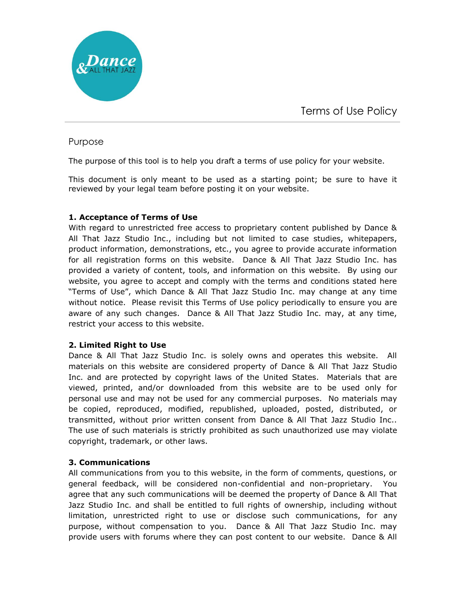

# Purpose

The purpose of this tool is to help you draft a terms of use policy for your website.

This document is only meant to be used as a starting point; be sure to have it reviewed by your legal team before posting it on your website.

### **1. Acceptance of Terms of Use**

With regard to unrestricted free access to proprietary content published by Dance & All That Jazz Studio Inc., including but not limited to case studies, whitepapers, product information, demonstrations, etc., you agree to provide accurate information for all registration forms on this website. Dance & All That Jazz Studio Inc. has provided a variety of content, tools, and information on this website. By using our website, you agree to accept and comply with the terms and conditions stated here "Terms of Use", which Dance & All That Jazz Studio Inc. may change at any time without notice. Please revisit this Terms of Use policy periodically to ensure you are aware of any such changes. Dance & All That Jazz Studio Inc. may, at any time, restrict your access to this website.

### **2. Limited Right to Use**

Dance & All That Jazz Studio Inc. is solely owns and operates this website. All materials on this website are considered property of Dance & All That Jazz Studio Inc. and are protected by copyright laws of the United States. Materials that are viewed, printed, and/or downloaded from this website are to be used only for personal use and may not be used for any commercial purposes. No materials may be copied, reproduced, modified, republished, uploaded, posted, distributed, or transmitted, without prior written consent from Dance & All That Jazz Studio Inc.. The use of such materials is strictly prohibited as such unauthorized use may violate copyright, trademark, or other laws.

# **3. Communications**

All communications from you to this website, in the form of comments, questions, or general feedback, will be considered non-confidential and non-proprietary. You agree that any such communications will be deemed the property of Dance & All That Jazz Studio Inc. and shall be entitled to full rights of ownership, including without limitation, unrestricted right to use or disclose such communications, for any purpose, without compensation to you. Dance & All That Jazz Studio Inc. may provide users with forums where they can post content to our website. Dance & All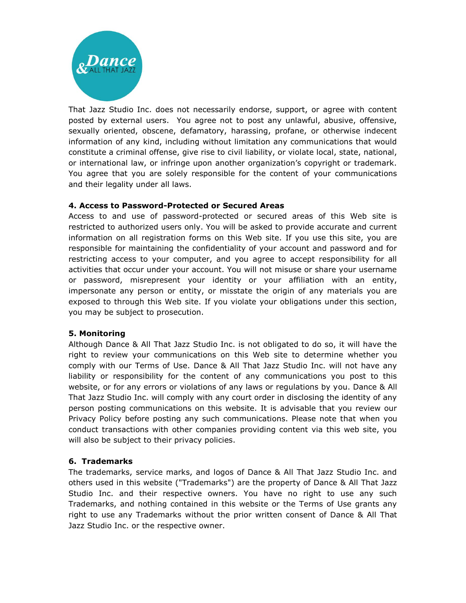

That Jazz Studio Inc. does not necessarily endorse, support, or agree with content posted by external users. You agree not to post any unlawful, abusive, offensive, sexually oriented, obscene, defamatory, harassing, profane, or otherwise indecent information of any kind, including without limitation any communications that would constitute a criminal offense, give rise to civil liability, or violate local, state, national, or international law, or infringe upon another organization's copyright or trademark. You agree that you are solely responsible for the content of your communications and their legality under all laws.

### **4. Access to Password-Protected or Secured Areas**

Access to and use of password-protected or secured areas of this Web site is restricted to authorized users only. You will be asked to provide accurate and current information on all registration forms on this Web site. If you use this site, you are responsible for maintaining the confidentiality of your account and password and for restricting access to your computer, and you agree to accept responsibility for all activities that occur under your account. You will not misuse or share your username or password, misrepresent your identity or your affiliation with an entity, impersonate any person or entity, or misstate the origin of any materials you are exposed to through this Web site. If you violate your obligations under this section, you may be subject to prosecution.

#### **5. Monitoring**

Although Dance & All That Jazz Studio Inc. is not obligated to do so, it will have the right to review your communications on this Web site to determine whether you comply with our Terms of Use. Dance & All That Jazz Studio Inc. will not have any liability or responsibility for the content of any communications you post to this website, or for any errors or violations of any laws or regulations by you. Dance & All That Jazz Studio Inc. will comply with any court order in disclosing the identity of any person posting communications on this website. It is advisable that you review our Privacy Policy before posting any such communications. Please note that when you conduct transactions with other companies providing content via this web site, you will also be subject to their privacy policies.

#### **6. Trademarks**

The trademarks, service marks, and logos of Dance & All That Jazz Studio Inc. and others used in this website ("Trademarks") are the property of Dance & All That Jazz Studio Inc. and their respective owners. You have no right to use any such Trademarks, and nothing contained in this website or the Terms of Use grants any right to use any Trademarks without the prior written consent of Dance & All That Jazz Studio Inc. or the respective owner.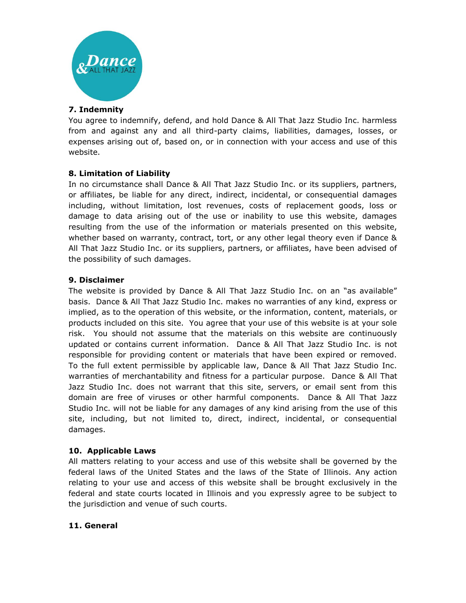

### **7. Indemnity**

You agree to indemnify, defend, and hold Dance & All That Jazz Studio Inc. harmless from and against any and all third-party claims, liabilities, damages, losses, or expenses arising out of, based on, or in connection with your access and use of this website.

# **8. Limitation of Liability**

In no circumstance shall Dance & All That Jazz Studio Inc. or its suppliers, partners, or affiliates, be liable for any direct, indirect, incidental, or consequential damages including, without limitation, lost revenues, costs of replacement goods, loss or damage to data arising out of the use or inability to use this website, damages resulting from the use of the information or materials presented on this website, whether based on warranty, contract, tort, or any other legal theory even if Dance & All That Jazz Studio Inc. or its suppliers, partners, or affiliates, have been advised of the possibility of such damages.

### **9. Disclaimer**

The website is provided by Dance & All That Jazz Studio Inc. on an "as available" basis. Dance & All That Jazz Studio Inc. makes no warranties of any kind, express or implied, as to the operation of this website, or the information, content, materials, or products included on this site. You agree that your use of this website is at your sole risk. You should not assume that the materials on this website are continuously updated or contains current information. Dance & All That Jazz Studio Inc. is not responsible for providing content or materials that have been expired or removed. To the full extent permissible by applicable law, Dance & All That Jazz Studio Inc. warranties of merchantability and fitness for a particular purpose. Dance & All That Jazz Studio Inc. does not warrant that this site, servers, or email sent from this domain are free of viruses or other harmful components. Dance & All That Jazz Studio Inc. will not be liable for any damages of any kind arising from the use of this site, including, but not limited to, direct, indirect, incidental, or consequential damages.

### **10. Applicable Laws**

All matters relating to your access and use of this website shall be governed by the federal laws of the United States and the laws of the State of Illinois. Any action relating to your use and access of this website shall be brought exclusively in the federal and state courts located in Illinois and you expressly agree to be subject to the jurisdiction and venue of such courts.

### **11. General**